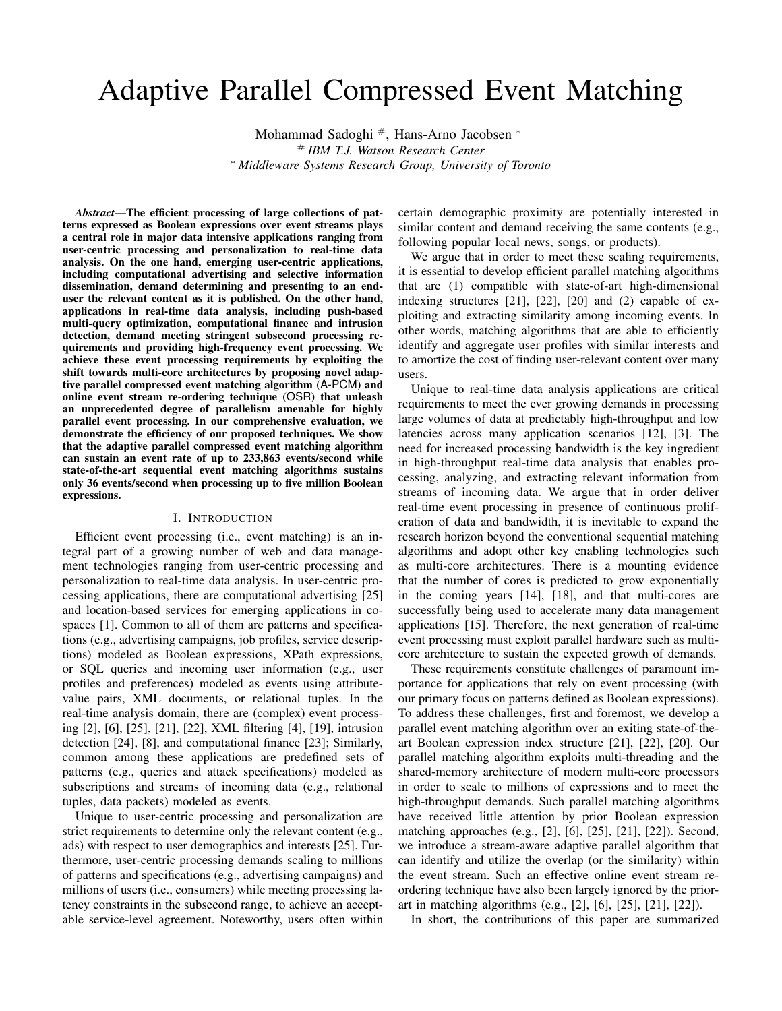# Adaptive Parallel Compressed Event Matching

Mohammad Sadoghi #, Hans-Arno Jacobsen <sup>∗</sup>

# *IBM T.J. Watson Research Center*

<sup>∗</sup> *Middleware Systems Research Group, University of Toronto*

*Abstract*—The efficient processing of large collections of patterns expressed as Boolean expressions over event streams plays a central role in major data intensive applications ranging from user-centric processing and personalization to real-time data analysis. On the one hand, emerging user-centric applications, including computational advertising and selective information dissemination, demand determining and presenting to an enduser the relevant content as it is published. On the other hand, applications in real-time data analysis, including push-based multi-query optimization, computational finance and intrusion detection, demand meeting stringent subsecond processing requirements and providing high-frequency event processing. We achieve these event processing requirements by exploiting the shift towards multi-core architectures by proposing novel adaptive parallel compressed event matching algorithm (A-PCM) and online event stream re-ordering technique (OSR) that unleash an unprecedented degree of parallelism amenable for highly parallel event processing. In our comprehensive evaluation, we demonstrate the efficiency of our proposed techniques. We show that the adaptive parallel compressed event matching algorithm can sustain an event rate of up to 233,863 events/second while state-of-the-art sequential event matching algorithms sustains only 36 events/second when processing up to five million Boolean expressions.

#### I. INTRODUCTION

Efficient event processing (i.e., event matching) is an integral part of a growing number of web and data management technologies ranging from user-centric processing and personalization to real-time data analysis. In user-centric processing applications, there are computational advertising [25] and location-based services for emerging applications in cospaces [1]. Common to all of them are patterns and specifications (e.g., advertising campaigns, job profiles, service descriptions) modeled as Boolean expressions, XPath expressions, or SQL queries and incoming user information (e.g., user profiles and preferences) modeled as events using attributevalue pairs, XML documents, or relational tuples. In the real-time analysis domain, there are (complex) event processing [2], [6], [25], [21], [22], XML filtering [4], [19], intrusion detection [24], [8], and computational finance [23]; Similarly, common among these applications are predefined sets of patterns (e.g., queries and attack specifications) modeled as subscriptions and streams of incoming data (e.g., relational tuples, data packets) modeled as events.

Unique to user-centric processing and personalization are strict requirements to determine only the relevant content (e.g., ads) with respect to user demographics and interests [25]. Furthermore, user-centric processing demands scaling to millions of patterns and specifications (e.g., advertising campaigns) and millions of users (i.e., consumers) while meeting processing latency constraints in the subsecond range, to achieve an acceptable service-level agreement. Noteworthy, users often within certain demographic proximity are potentially interested in similar content and demand receiving the same contents (e.g., following popular local news, songs, or products).

We argue that in order to meet these scaling requirements, it is essential to develop efficient parallel matching algorithms that are (1) compatible with state-of-art high-dimensional indexing structures [21], [22], [20] and (2) capable of exploiting and extracting similarity among incoming events. In other words, matching algorithms that are able to efficiently identify and aggregate user profiles with similar interests and to amortize the cost of finding user-relevant content over many users.

Unique to real-time data analysis applications are critical requirements to meet the ever growing demands in processing large volumes of data at predictably high-throughput and low latencies across many application scenarios [12], [3]. The need for increased processing bandwidth is the key ingredient in high-throughput real-time data analysis that enables processing, analyzing, and extracting relevant information from streams of incoming data. We argue that in order deliver real-time event processing in presence of continuous proliferation of data and bandwidth, it is inevitable to expand the research horizon beyond the conventional sequential matching algorithms and adopt other key enabling technologies such as multi-core architectures. There is a mounting evidence that the number of cores is predicted to grow exponentially in the coming years [14], [18], and that multi-cores are successfully being used to accelerate many data management applications [15]. Therefore, the next generation of real-time event processing must exploit parallel hardware such as multicore architecture to sustain the expected growth of demands.

These requirements constitute challenges of paramount importance for applications that rely on event processing (with our primary focus on patterns defined as Boolean expressions). To address these challenges, first and foremost, we develop a parallel event matching algorithm over an exiting state-of-theart Boolean expression index structure [21], [22], [20]. Our parallel matching algorithm exploits multi-threading and the shared-memory architecture of modern multi-core processors in order to scale to millions of expressions and to meet the high-throughput demands. Such parallel matching algorithms have received little attention by prior Boolean expression matching approaches (e.g., [2], [6], [25], [21], [22]). Second, we introduce a stream-aware adaptive parallel algorithm that can identify and utilize the overlap (or the similarity) within the event stream. Such an effective online event stream reordering technique have also been largely ignored by the priorart in matching algorithms (e.g., [2], [6], [25], [21], [22]).

In short, the contributions of this paper are summarized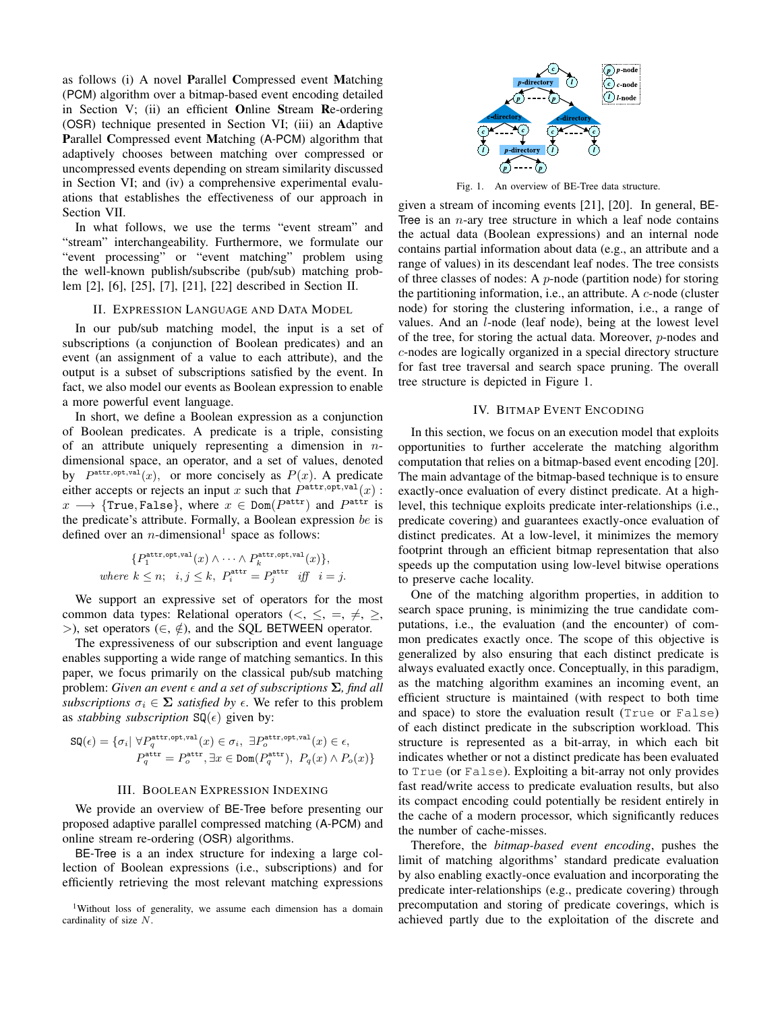as follows (i) A novel Parallel Compressed event Matching (PCM) algorithm over a bitmap-based event encoding detailed in Section V; (ii) an efficient Online Stream Re-ordering (OSR) technique presented in Section VI; (iii) an Adaptive Parallel Compressed event Matching (A-PCM) algorithm that adaptively chooses between matching over compressed or uncompressed events depending on stream similarity discussed in Section VI; and (iv) a comprehensive experimental evaluations that establishes the effectiveness of our approach in Section VII.

In what follows, we use the terms "event stream" and "stream" interchangeability. Furthermore, we formulate our "event processing" or "event matching" problem using the well-known publish/subscribe (pub/sub) matching problem [2], [6], [25], [7], [21], [22] described in Section II.

# II. EXPRESSION LANGUAGE AND DATA MODEL

In our pub/sub matching model, the input is a set of subscriptions (a conjunction of Boolean predicates) and an event (an assignment of a value to each attribute), and the output is a subset of subscriptions satisfied by the event. In fact, we also model our events as Boolean expression to enable a more powerful event language.

In short, we define a Boolean expression as a conjunction of Boolean predicates. A predicate is a triple, consisting of an attribute uniquely representing a dimension in  $n$ dimensional space, an operator, and a set of values, denoted by  $P^{\text{attr}, \text{opt}, \text{val}}(x)$ , or more concisely as  $P(x)$ . A predicate either accepts or rejects an input x such that  $P^{\text{attr},\text{opt},\text{val}}(x)$ :  $x \longrightarrow \{\texttt{True}, \texttt{False}\}, \text{ where } x \in \texttt{Dom}(P^{\texttt{attr}}) \text{ and } P^{\texttt{attr}} \text{ is }$ the predicate's attribute. Formally, a Boolean expression be is defined over an *n*-dimensional<sup>1</sup> space as follows:

$$
\{P_1^{\text{attr},\text{opt},\text{val}}(x) \land \cdots \land P_k^{\text{attr},\text{opt},\text{val}}(x)\},
$$
  
where  $k \le n$ ;  $i, j \le k$ ,  $P_i^{\text{attr}} = P_j^{\text{attr}}$  iff  $i = j$ .

We support an expressive set of operators for the most common data types: Relational operators ( $\lt$ ,  $\leq$ ,  $=$ ,  $\neq$ ,  $\geq$ ,  $>$ ), set operators ( $\in$ ,  $\notin$ ), and the SQL BETWEEN operator.

The expressiveness of our subscription and event language enables supporting a wide range of matching semantics. In this paper, we focus primarily on the classical pub/sub matching problem: *Given an event*  $\epsilon$  *and a set of subscriptions*  $\Sigma$ *, find all subscriptions*  $\sigma_i \in \Sigma$  *satisfied by*  $\epsilon$ . We refer to this problem as *stabbing subscription*  $\text{SQ}(\epsilon)$  given by:

$$
\begin{aligned} \mathrm{SQ}(\epsilon) = \{ \sigma_i | \; \forall P_q^{\mathrm{attr}, \mathrm{opt}, \mathrm{val}}(x) \in \sigma_i, \; \exists P_o^{\mathrm{attr}, \mathrm{opt}, \mathrm{val}}(x) \in \epsilon, \\ P_q^{\mathrm{attr}} = P_o^{\mathrm{attr}}, \exists x \in \mathrm{Dom}(P_q^{\mathrm{attr}}), \; P_q(x) \wedge P_o(x) \} \end{aligned}
$$

#### III. BOOLEAN EXPRESSION INDEXING

We provide an overview of BE-Tree before presenting our proposed adaptive parallel compressed matching (A-PCM) and online stream re-ordering (OSR) algorithms.

BE-Tree is a an index structure for indexing a large collection of Boolean expressions (i.e., subscriptions) and for efficiently retrieving the most relevant matching expressions



Fig. 1. An overview of BE-Tree data structure.

given a stream of incoming events [21], [20]. In general, BE-Tree is an  $n$ -ary tree structure in which a leaf node contains the actual data (Boolean expressions) and an internal node contains partial information about data (e.g., an attribute and a range of values) in its descendant leaf nodes. The tree consists of three classes of nodes: A  $p$ -node (partition node) for storing the partitioning information, i.e., an attribute. A c-node (cluster node) for storing the clustering information, i.e., a range of values. And an l-node (leaf node), being at the lowest level of the tree, for storing the actual data. Moreover,  $p$ -nodes and c-nodes are logically organized in a special directory structure for fast tree traversal and search space pruning. The overall tree structure is depicted in Figure 1.

#### IV. BITMAP EVENT ENCODING

In this section, we focus on an execution model that exploits opportunities to further accelerate the matching algorithm computation that relies on a bitmap-based event encoding [20]. The main advantage of the bitmap-based technique is to ensure exactly-once evaluation of every distinct predicate. At a highlevel, this technique exploits predicate inter-relationships (i.e., predicate covering) and guarantees exactly-once evaluation of distinct predicates. At a low-level, it minimizes the memory footprint through an efficient bitmap representation that also speeds up the computation using low-level bitwise operations to preserve cache locality.

One of the matching algorithm properties, in addition to search space pruning, is minimizing the true candidate computations, i.e., the evaluation (and the encounter) of common predicates exactly once. The scope of this objective is generalized by also ensuring that each distinct predicate is always evaluated exactly once. Conceptually, in this paradigm, as the matching algorithm examines an incoming event, an efficient structure is maintained (with respect to both time and space) to store the evaluation result (True or False) of each distinct predicate in the subscription workload. This structure is represented as a bit-array, in which each bit indicates whether or not a distinct predicate has been evaluated to True (or False). Exploiting a bit-array not only provides fast read/write access to predicate evaluation results, but also its compact encoding could potentially be resident entirely in the cache of a modern processor, which significantly reduces the number of cache-misses.

Therefore, the *bitmap-based event encoding*, pushes the limit of matching algorithms' standard predicate evaluation by also enabling exactly-once evaluation and incorporating the predicate inter-relationships (e.g., predicate covering) through precomputation and storing of predicate coverings, which is achieved partly due to the exploitation of the discrete and

<sup>1</sup>Without loss of generality, we assume each dimension has a domain cardinality of size N.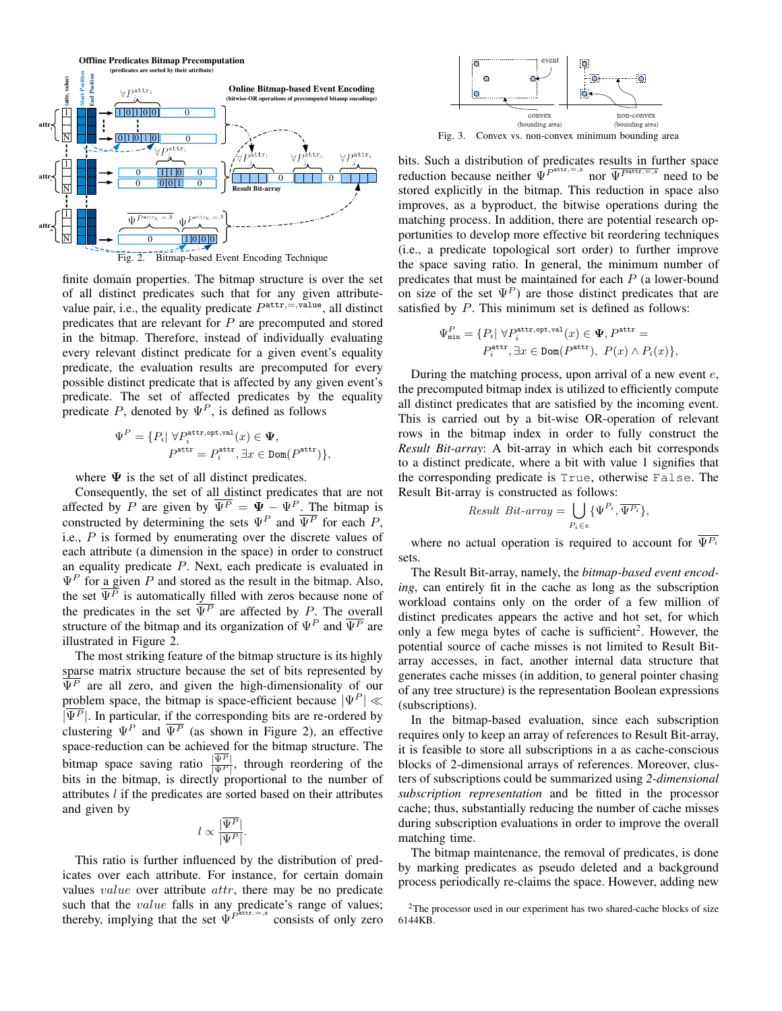

finite domain properties. The bitmap structure is over the set of all distinct predicates such that for any given attributevalue pair, i.e., the equality predicate  $P^{\text{attr},=,\text{value}}$ , all distinct predicates that are relevant for  $P$  are precomputed and stored in the bitmap. Therefore, instead of individually evaluating every relevant distinct predicate for a given event's equality predicate, the evaluation results are precomputed for every possible distinct predicate that is affected by any given event's predicate. The set of affected predicates by the equality predicate P, denoted by  $\Psi^P$ , is defined as follows

$$
\Psi^{P} = \{ P_i | \forall P_i^{\text{attr}, \text{opt}, \text{val}}(x) \in \Psi,
$$
  

$$
P^{\text{attr}} = P_i^{\text{attr}}, \exists x \in \text{Dom}(P^{\text{attr}}) \},
$$

where  $\Psi$  is the set of all distinct predicates.

Consequently, the set of all distinct predicates that are not affected by P are given by  $\overline{\Psi}^P = \Psi - \Psi^P$ . The bitmap is constructed by determining the sets  $\Psi^P$  and  $\overline{\Psi^P}$  for each P, i.e.,  $P$  is formed by enumerating over the discrete values of each attribute (a dimension in the space) in order to construct an equality predicate P. Next, each predicate is evaluated in  $\Psi^P$  for a given P and stored as the result in the bitmap. Also, the set  $\overline{\Psi^P}$  is automatically filled with zeros because none of the predicates in the set  $\overline{\Psi^P}$  are affected by P. The overall structure of the bitmap and its organization of  $\Psi^P$  and  $\overline{\Psi^P}$  are illustrated in Figure 2.

The most striking feature of the bitmap structure is its highly sparse matrix structure because the set of bits represented by  $\Psi^P$  are all zero, and given the high-dimensionality of our problem space, the bitmap is space-efficient because  $|\Psi^P| \ll$  $|\overline{\Psi^P}|$ . In particular, if the corresponding bits are re-ordered by clustering  $\Psi^P$  and  $\overline{\Psi^P}$  (as shown in Figure 2), an effective space-reduction can be achieved for the bitmap structure. The bitmap space saving ratio  $\frac{|\Psi|^p}{|\Psi|^p}$ , through reordering of the bits in the bitmap, is directly proportional to the number of attributes  $l$  if the predicates are sorted based on their attributes and given by

$$
l \propto \frac{|\overline{\Psi^P}|}{|\Psi^P|}.
$$

This ratio is further influenced by the distribution of predicates over each attribute. For instance, for certain domain values *value* over attribute *attr*, there may be no predicate such that the value falls in any predicate's range of values; thereby, implying that the set  $\Psi^{P^{\text{attr},=,x}}$  consists of only zero



Fig. 3. Convex vs. non-convex minimum bounding area

bits. Such a distribution of predicates results in further space reduction because neither  $\Psi^{P^{\text{attr},=,x}}$  nor  $\Psi^{P^{\text{attr},=,x}}$  need to be stored explicitly in the bitmap. This reduction in space also improves, as a byproduct, the bitwise operations during the matching process. In addition, there are potential research opportunities to develop more effective bit reordering techniques (i.e., a predicate topological sort order) to further improve the space saving ratio. In general, the minimum number of predicates that must be maintained for each P (a lower-bound on size of the set  $\Psi^P$ ) are those distinct predicates that are satisfied by P. This minimum set is defined as follows:

$$
\Psi_{\min}^P = \{ P_i | \forall P_i^{\text{attr}, \text{opt}, \text{val}}(x) \in \Psi, P^{\text{attr}} =
$$
  

$$
P_i^{\text{attr}}, \exists x \in \text{Dom}(P^{\text{attr}}), \ P(x) \wedge P_i(x) \},
$$

During the matching process, upon arrival of a new event  $e$ , the precomputed bitmap index is utilized to efficiently compute all distinct predicates that are satisfied by the incoming event. This is carried out by a bit-wise OR-operation of relevant rows in the bitmap index in order to fully construct the *Result Bit-array*: A bit-array in which each bit corresponds to a distinct predicate, where a bit with value 1 signifies that the corresponding predicate is True, otherwise False. The Result Bit-array is constructed as follows:

Result Bit-array = 
$$
\bigcup_{P_i \in e} {\{\Psi^{P_i}, \overline{\Psi^{P_i}}\}},
$$

where no actual operation is required to account for  $\Psi^{P_i}$ sets.

The Result Bit-array, namely, the *bitmap-based event encoding*, can entirely fit in the cache as long as the subscription workload contains only on the order of a few million of distinct predicates appears the active and hot set, for which only a few mega bytes of cache is sufficient<sup>2</sup>. However, the potential source of cache misses is not limited to Result Bitarray accesses, in fact, another internal data structure that generates cache misses (in addition, to general pointer chasing of any tree structure) is the representation Boolean expressions (subscriptions).

In the bitmap-based evaluation, since each subscription requires only to keep an array of references to Result Bit-array, it is feasible to store all subscriptions in a as cache-conscious blocks of 2-dimensional arrays of references. Moreover, clusters of subscriptions could be summarized using *2-dimensional subscription representation* and be fitted in the processor cache; thus, substantially reducing the number of cache misses during subscription evaluations in order to improve the overall matching time.

The bitmap maintenance, the removal of predicates, is done by marking predicates as pseudo deleted and a background process periodically re-claims the space. However, adding new

<sup>&</sup>lt;sup>2</sup>The processor used in our experiment has two shared-cache blocks of size 6144KB.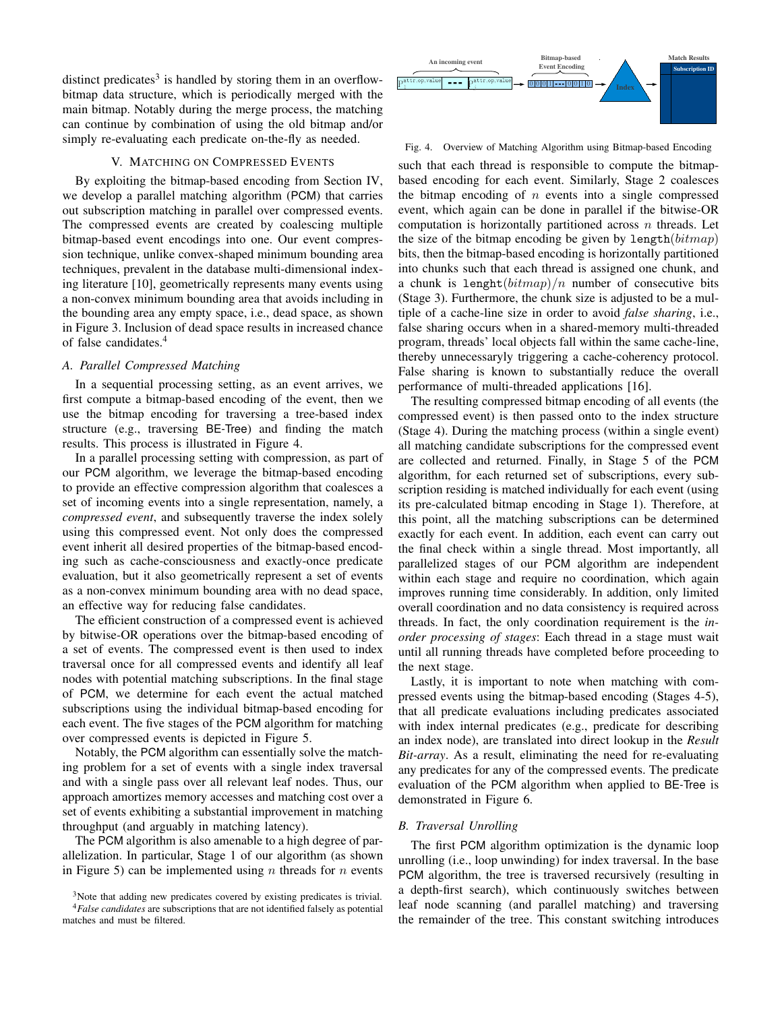distinct predicates<sup>3</sup> is handled by storing them in an overflowbitmap data structure, which is periodically merged with the main bitmap. Notably during the merge process, the matching can continue by combination of using the old bitmap and/or simply re-evaluating each predicate on-the-fly as needed.

# V. MATCHING ON COMPRESSED EVENTS

By exploiting the bitmap-based encoding from Section IV, we develop a parallel matching algorithm (PCM) that carries out subscription matching in parallel over compressed events. The compressed events are created by coalescing multiple bitmap-based event encodings into one. Our event compression technique, unlike convex-shaped minimum bounding area techniques, prevalent in the database multi-dimensional indexing literature [10], geometrically represents many events using a non-convex minimum bounding area that avoids including in the bounding area any empty space, i.e., dead space, as shown in Figure 3. Inclusion of dead space results in increased chance of false candidates.<sup>4</sup>

#### *A. Parallel Compressed Matching*

In a sequential processing setting, as an event arrives, we first compute a bitmap-based encoding of the event, then we use the bitmap encoding for traversing a tree-based index structure (e.g., traversing BE-Tree) and finding the match results. This process is illustrated in Figure 4.

In a parallel processing setting with compression, as part of our PCM algorithm, we leverage the bitmap-based encoding to provide an effective compression algorithm that coalesces a set of incoming events into a single representation, namely, a *compressed event*, and subsequently traverse the index solely using this compressed event. Not only does the compressed event inherit all desired properties of the bitmap-based encoding such as cache-consciousness and exactly-once predicate evaluation, but it also geometrically represent a set of events as a non-convex minimum bounding area with no dead space, an effective way for reducing false candidates.

The efficient construction of a compressed event is achieved by bitwise-OR operations over the bitmap-based encoding of a set of events. The compressed event is then used to index traversal once for all compressed events and identify all leaf nodes with potential matching subscriptions. In the final stage of PCM, we determine for each event the actual matched subscriptions using the individual bitmap-based encoding for each event. The five stages of the PCM algorithm for matching over compressed events is depicted in Figure 5.

Notably, the PCM algorithm can essentially solve the matching problem for a set of events with a single index traversal and with a single pass over all relevant leaf nodes. Thus, our approach amortizes memory accesses and matching cost over a set of events exhibiting a substantial improvement in matching throughput (and arguably in matching latency).

The PCM algorithm is also amenable to a high degree of parallelization. In particular, Stage 1 of our algorithm (as shown in Figure 5) can be implemented using  $n$  threads for  $n$  events



Fig. 4. Overview of Matching Algorithm using Bitmap-based Encoding

such that each thread is responsible to compute the bitmapbased encoding for each event. Similarly, Stage 2 coalesces the bitmap encoding of  $n$  events into a single compressed event, which again can be done in parallel if the bitwise-OR computation is horizontally partitioned across  $n$  threads. Let the size of the bitmap encoding be given by  $length(bitmap)$ bits, then the bitmap-based encoding is horizontally partitioned into chunks such that each thread is assigned one chunk, and a chunk is lenght $(bitmap)/n$  number of consecutive bits (Stage 3). Furthermore, the chunk size is adjusted to be a multiple of a cache-line size in order to avoid *false sharing*, i.e., false sharing occurs when in a shared-memory multi-threaded program, threads' local objects fall within the same cache-line, thereby unnecessaryly triggering a cache-coherency protocol. False sharing is known to substantially reduce the overall performance of multi-threaded applications [16].

The resulting compressed bitmap encoding of all events (the compressed event) is then passed onto to the index structure (Stage 4). During the matching process (within a single event) all matching candidate subscriptions for the compressed event are collected and returned. Finally, in Stage 5 of the PCM algorithm, for each returned set of subscriptions, every subscription residing is matched individually for each event (using its pre-calculated bitmap encoding in Stage 1). Therefore, at this point, all the matching subscriptions can be determined exactly for each event. In addition, each event can carry out the final check within a single thread. Most importantly, all parallelized stages of our PCM algorithm are independent within each stage and require no coordination, which again improves running time considerably. In addition, only limited overall coordination and no data consistency is required across threads. In fact, the only coordination requirement is the *inorder processing of stages*: Each thread in a stage must wait until all running threads have completed before proceeding to the next stage.

Lastly, it is important to note when matching with compressed events using the bitmap-based encoding (Stages 4-5), that all predicate evaluations including predicates associated with index internal predicates (e.g., predicate for describing an index node), are translated into direct lookup in the *Result Bit-array*. As a result, eliminating the need for re-evaluating any predicates for any of the compressed events. The predicate evaluation of the PCM algorithm when applied to BE-Tree is demonstrated in Figure 6.

## *B. Traversal Unrolling*

The first PCM algorithm optimization is the dynamic loop unrolling (i.e., loop unwinding) for index traversal. In the base PCM algorithm, the tree is traversed recursively (resulting in a depth-first search), which continuously switches between leaf node scanning (and parallel matching) and traversing the remainder of the tree. This constant switching introduces

<sup>&</sup>lt;sup>3</sup>Note that adding new predicates covered by existing predicates is trivial. <sup>4</sup>*False candidates* are subscriptions that are not identified falsely as potential

matches and must be filtered.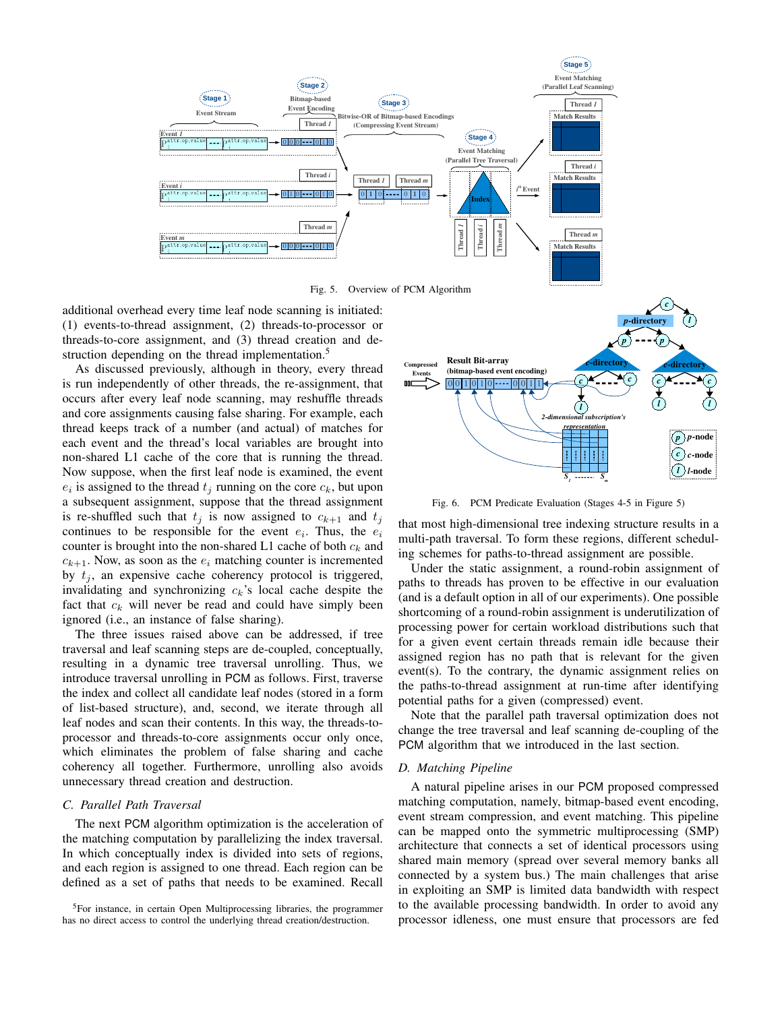

Fig. 5. Overview of PCM Algorithm

additional overhead every time leaf node scanning is initiated: (1) events-to-thread assignment, (2) threads-to-processor or threads-to-core assignment, and (3) thread creation and destruction depending on the thread implementation.<sup>5</sup>

As discussed previously, although in theory, every thread is run independently of other threads, the re-assignment, that occurs after every leaf node scanning, may reshuffle threads and core assignments causing false sharing. For example, each thread keeps track of a number (and actual) of matches for each event and the thread's local variables are brought into non-shared L1 cache of the core that is running the thread. Now suppose, when the first leaf node is examined, the event  $e_i$  is assigned to the thread  $t_j$  running on the core  $c_k$ , but upon a subsequent assignment, suppose that the thread assignment is re-shuffled such that  $t_j$  is now assigned to  $c_{k+1}$  and  $t_j$ continues to be responsible for the event  $e_i$ . Thus, the  $e_i$ counter is brought into the non-shared L1 cache of both  $c_k$  and  $c_{k+1}$ . Now, as soon as the  $e_i$  matching counter is incremented by  $t_i$ , an expensive cache coherency protocol is triggered, invalidating and synchronizing  $c_k$ 's local cache despite the fact that  $c_k$  will never be read and could have simply been ignored (i.e., an instance of false sharing).

The three issues raised above can be addressed, if tree traversal and leaf scanning steps are de-coupled, conceptually, resulting in a dynamic tree traversal unrolling. Thus, we introduce traversal unrolling in PCM as follows. First, traverse the index and collect all candidate leaf nodes (stored in a form of list-based structure), and, second, we iterate through all leaf nodes and scan their contents. In this way, the threads-toprocessor and threads-to-core assignments occur only once, which eliminates the problem of false sharing and cache coherency all together. Furthermore, unrolling also avoids unnecessary thread creation and destruction.

#### *C. Parallel Path Traversal*

The next PCM algorithm optimization is the acceleration of the matching computation by parallelizing the index traversal. In which conceptually index is divided into sets of regions, and each region is assigned to one thread. Each region can be defined as a set of paths that needs to be examined. Recall



Fig. 6. PCM Predicate Evaluation (Stages 4-5 in Figure 5)

that most high-dimensional tree indexing structure results in a multi-path traversal. To form these regions, different scheduling schemes for paths-to-thread assignment are possible.

Under the static assignment, a round-robin assignment of paths to threads has proven to be effective in our evaluation (and is a default option in all of our experiments). One possible shortcoming of a round-robin assignment is underutilization of processing power for certain workload distributions such that for a given event certain threads remain idle because their assigned region has no path that is relevant for the given event(s). To the contrary, the dynamic assignment relies on the paths-to-thread assignment at run-time after identifying potential paths for a given (compressed) event.

Note that the parallel path traversal optimization does not change the tree traversal and leaf scanning de-coupling of the PCM algorithm that we introduced in the last section.

# *D. Matching Pipeline*

A natural pipeline arises in our PCM proposed compressed matching computation, namely, bitmap-based event encoding, event stream compression, and event matching. This pipeline can be mapped onto the symmetric multiprocessing (SMP) architecture that connects a set of identical processors using shared main memory (spread over several memory banks all connected by a system bus.) The main challenges that arise in exploiting an SMP is limited data bandwidth with respect to the available processing bandwidth. In order to avoid any processor idleness, one must ensure that processors are fed

<sup>5</sup>For instance, in certain Open Multiprocessing libraries, the programmer has no direct access to control the underlying thread creation/destruction.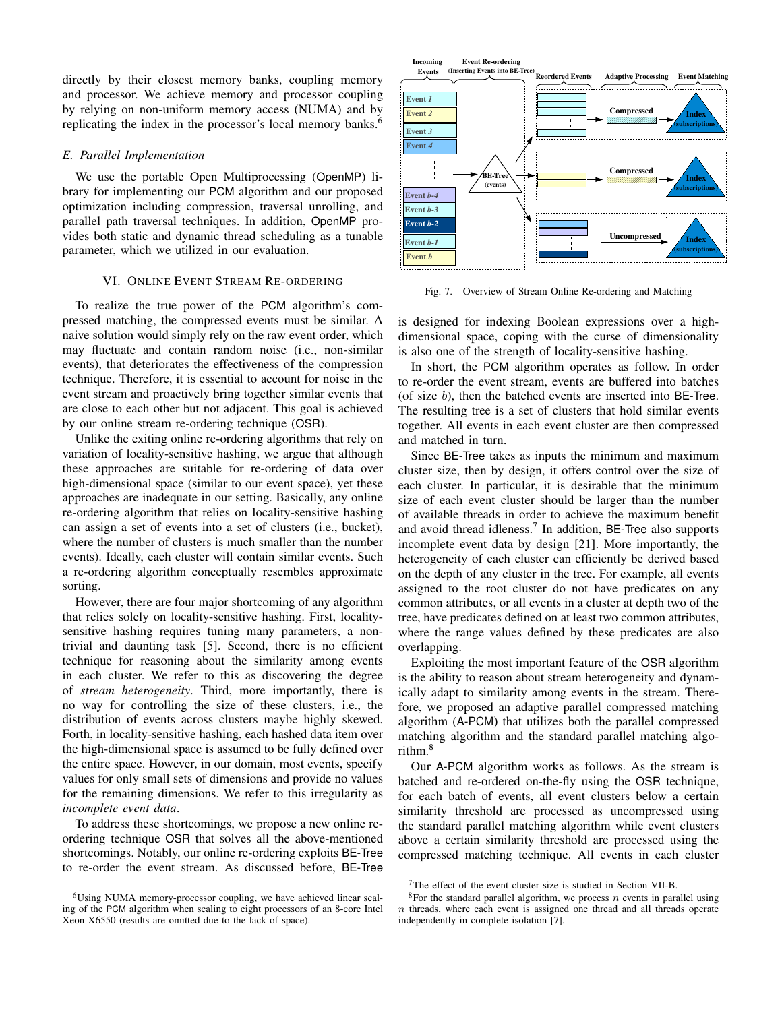directly by their closest memory banks, coupling memory and processor. We achieve memory and processor coupling by relying on non-uniform memory access (NUMA) and by replicating the index in the processor's local memory banks.<sup>6</sup>

# *E. Parallel Implementation*

We use the portable Open Multiprocessing (OpenMP) library for implementing our PCM algorithm and our proposed optimization including compression, traversal unrolling, and parallel path traversal techniques. In addition, OpenMP provides both static and dynamic thread scheduling as a tunable parameter, which we utilized in our evaluation.

# VI. ONLINE EVENT STREAM RE-ORDERING

To realize the true power of the PCM algorithm's compressed matching, the compressed events must be similar. A naive solution would simply rely on the raw event order, which may fluctuate and contain random noise (i.e., non-similar events), that deteriorates the effectiveness of the compression technique. Therefore, it is essential to account for noise in the event stream and proactively bring together similar events that are close to each other but not adjacent. This goal is achieved by our online stream re-ordering technique (OSR).

Unlike the exiting online re-ordering algorithms that rely on variation of locality-sensitive hashing, we argue that although these approaches are suitable for re-ordering of data over high-dimensional space (similar to our event space), yet these approaches are inadequate in our setting. Basically, any online re-ordering algorithm that relies on locality-sensitive hashing can assign a set of events into a set of clusters (i.e., bucket), where the number of clusters is much smaller than the number events). Ideally, each cluster will contain similar events. Such a re-ordering algorithm conceptually resembles approximate sorting.

However, there are four major shortcoming of any algorithm that relies solely on locality-sensitive hashing. First, localitysensitive hashing requires tuning many parameters, a nontrivial and daunting task [5]. Second, there is no efficient technique for reasoning about the similarity among events in each cluster. We refer to this as discovering the degree of *stream heterogeneity*. Third, more importantly, there is no way for controlling the size of these clusters, i.e., the distribution of events across clusters maybe highly skewed. Forth, in locality-sensitive hashing, each hashed data item over the high-dimensional space is assumed to be fully defined over the entire space. However, in our domain, most events, specify values for only small sets of dimensions and provide no values for the remaining dimensions. We refer to this irregularity as *incomplete event data*.

To address these shortcomings, we propose a new online reordering technique OSR that solves all the above-mentioned shortcomings. Notably, our online re-ordering exploits BE-Tree to re-order the event stream. As discussed before, BE-Tree



Fig. 7. Overview of Stream Online Re-ordering and Matching

is designed for indexing Boolean expressions over a highdimensional space, coping with the curse of dimensionality is also one of the strength of locality-sensitive hashing.

In short, the PCM algorithm operates as follow. In order to re-order the event stream, events are buffered into batches (of size  $b$ ), then the batched events are inserted into BE-Tree. The resulting tree is a set of clusters that hold similar events together. All events in each event cluster are then compressed and matched in turn.

Since BE-Tree takes as inputs the minimum and maximum cluster size, then by design, it offers control over the size of each cluster. In particular, it is desirable that the minimum size of each event cluster should be larger than the number of available threads in order to achieve the maximum benefit and avoid thread idleness. $7$  In addition, BE-Tree also supports incomplete event data by design [21]. More importantly, the heterogeneity of each cluster can efficiently be derived based on the depth of any cluster in the tree. For example, all events assigned to the root cluster do not have predicates on any common attributes, or all events in a cluster at depth two of the tree, have predicates defined on at least two common attributes, where the range values defined by these predicates are also overlapping.

Exploiting the most important feature of the OSR algorithm is the ability to reason about stream heterogeneity and dynamically adapt to similarity among events in the stream. Therefore, we proposed an adaptive parallel compressed matching algorithm (A-PCM) that utilizes both the parallel compressed matching algorithm and the standard parallel matching algorithm.<sup>8</sup>

Our A-PCM algorithm works as follows. As the stream is batched and re-ordered on-the-fly using the OSR technique, for each batch of events, all event clusters below a certain similarity threshold are processed as uncompressed using the standard parallel matching algorithm while event clusters above a certain similarity threshold are processed using the compressed matching technique. All events in each cluster

<sup>6</sup>Using NUMA memory-processor coupling, we have achieved linear scaling of the PCM algorithm when scaling to eight processors of an 8-core Intel Xeon X6550 (results are omitted due to the lack of space).

<sup>7</sup>The effect of the event cluster size is studied in Section VII-B.

<sup>&</sup>lt;sup>8</sup>For the standard parallel algorithm, we process  $n$  events in parallel using  $n$  threads, where each event is assigned one thread and all threads operate independently in complete isolation [7].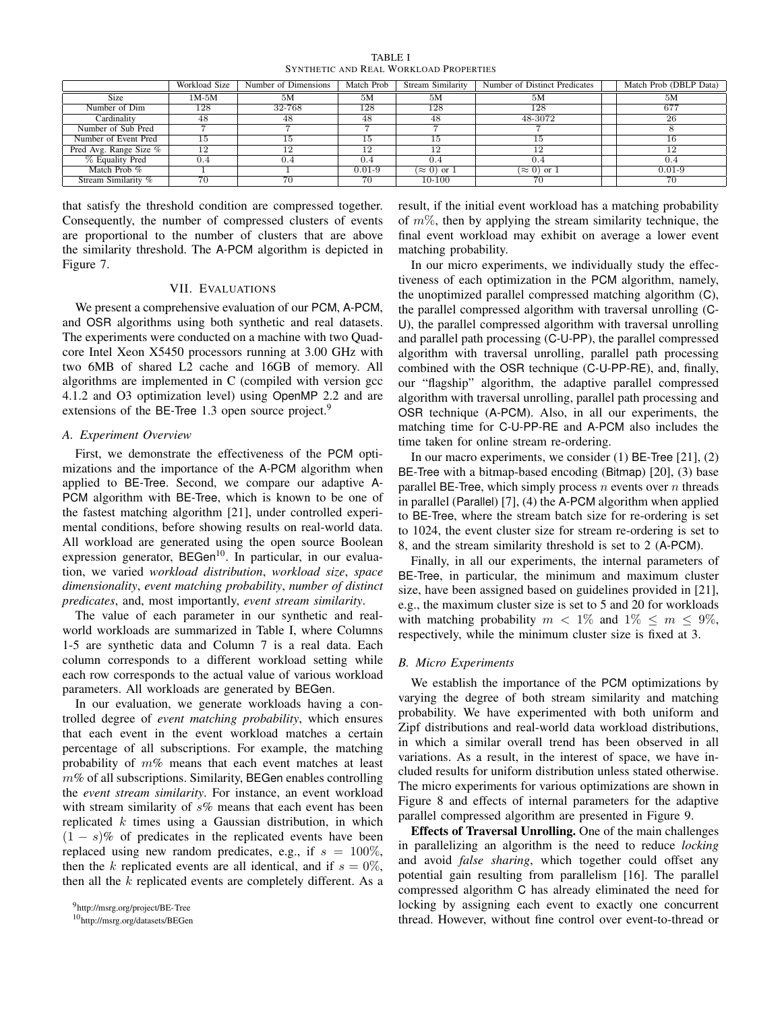TABLE I SYNTHETIC AND REAL WORKLOAD PROPERTIES

|                        | Workload Size | Number of Dimensions | Match Prob | <b>Stream Similarity</b> | Number of Distinct Predicates | Match Prob (DBLP Data) |
|------------------------|---------------|----------------------|------------|--------------------------|-------------------------------|------------------------|
| Size                   | $1M-5M$       | 5M                   | 5M         | 5Μ                       | 5M                            | 5M                     |
| Number of Dim          | 128           | 32-768               | 128        | 128                      | 128                           | 677                    |
| Cardinality            | 48            | 48                   | 48         | 48                       | 48-3072                       | 26                     |
| Number of Sub Pred     |               |                      |            |                          |                               |                        |
| Number of Event Pred   | 15            | 15                   | 15         | 15                       | 15                            | 16                     |
| Pred Avg. Range Size % | 12            | 12                   | 12         | 12                       | 12                            | 12                     |
| % Equality Pred        | 0.4           | 0.4                  | 0.4        | 0.4                      | 0.4                           | 0.4                    |
| Match Prob %           |               |                      | $0.01 - 9$ | $(\approx 0)$ or 1       | $(\approx 0)$ or 1            | $0.01 - 9$             |
| Stream Similarity %    | 70            | 70                   | 70         | $10 - 100$               | 70                            | 70                     |

that satisfy the threshold condition are compressed together. Consequently, the number of compressed clusters of events are proportional to the number of clusters that are above the similarity threshold. The A-PCM algorithm is depicted in Figure 7.

#### VII. EVALUATIONS

We present a comprehensive evaluation of our PCM, A-PCM, and OSR algorithms using both synthetic and real datasets. The experiments were conducted on a machine with two Quadcore Intel Xeon X5450 processors running at 3.00 GHz with two 6MB of shared L2 cache and 16GB of memory. All algorithms are implemented in C (compiled with version gcc 4.1.2 and O3 optimization level) using OpenMP 2.2 and are extensions of the BE-Tree 1.3 open source project.<sup>9</sup>

# *A. Experiment Overview*

First, we demonstrate the effectiveness of the PCM optimizations and the importance of the A-PCM algorithm when applied to BE-Tree. Second, we compare our adaptive A-PCM algorithm with BE-Tree, which is known to be one of the fastest matching algorithm [21], under controlled experimental conditions, before showing results on real-world data. All workload are generated using the open source Boolean expression generator,  $BEGen<sup>10</sup>$ . In particular, in our evaluation, we varied *workload distribution*, *workload size*, *space dimensionality*, *event matching probability*, *number of distinct predicates*, and, most importantly, *event stream similarity*.

The value of each parameter in our synthetic and realworld workloads are summarized in Table I, where Columns 1-5 are synthetic data and Column 7 is a real data. Each column corresponds to a different workload setting while each row corresponds to the actual value of various workload parameters. All workloads are generated by BEGen.

In our evaluation, we generate workloads having a controlled degree of *event matching probability*, which ensures that each event in the event workload matches a certain percentage of all subscriptions. For example, the matching probability of  $m\%$  means that each event matches at least  $m\%$  of all subscriptions. Similarity, BEGen enables controlling the *event stream similarity*. For instance, an event workload with stream similarity of  $s\%$  means that each event has been replicated  $k$  times using a Gaussian distribution, in which  $(1 - s)\%$  of predicates in the replicated events have been replaced using new random predicates, e.g., if  $s = 100\%$ , then the k replicated events are all identical, and if  $s = 0\%$ , then all the  $k$  replicated events are completely different. As a

<sup>10</sup>http://msrg.org/datasets/BEGen

result, if the initial event workload has a matching probability of  $m\%$ , then by applying the stream similarity technique, the final event workload may exhibit on average a lower event matching probability.

In our micro experiments, we individually study the effectiveness of each optimization in the PCM algorithm, namely, the unoptimized parallel compressed matching algorithm (C), the parallel compressed algorithm with traversal unrolling (C-U), the parallel compressed algorithm with traversal unrolling and parallel path processing (C-U-PP), the parallel compressed algorithm with traversal unrolling, parallel path processing combined with the OSR technique (C-U-PP-RE), and, finally, our "flagship" algorithm, the adaptive parallel compressed algorithm with traversal unrolling, parallel path processing and OSR technique (A-PCM). Also, in all our experiments, the matching time for C-U-PP-RE and A-PCM also includes the time taken for online stream re-ordering.

In our macro experiments, we consider (1) BE-Tree [21], (2) BE-Tree with a bitmap-based encoding (Bitmap) [20], (3) base parallel BE-Tree, which simply process  $n$  events over  $n$  threads in parallel (Parallel) [7], (4) the A-PCM algorithm when applied to BE-Tree, where the stream batch size for re-ordering is set to 1024, the event cluster size for stream re-ordering is set to 8, and the stream similarity threshold is set to 2 (A-PCM).

Finally, in all our experiments, the internal parameters of BE-Tree, in particular, the minimum and maximum cluster size, have been assigned based on guidelines provided in [21], e.g., the maximum cluster size is set to 5 and 20 for workloads with matching probability  $m < 1\%$  and  $1\% \leq m \leq 9\%$ , respectively, while the minimum cluster size is fixed at 3.

## *B. Micro Experiments*

We establish the importance of the PCM optimizations by varying the degree of both stream similarity and matching probability. We have experimented with both uniform and Zipf distributions and real-world data workload distributions, in which a similar overall trend has been observed in all variations. As a result, in the interest of space, we have included results for uniform distribution unless stated otherwise. The micro experiments for various optimizations are shown in Figure 8 and effects of internal parameters for the adaptive parallel compressed algorithm are presented in Figure 9.

Effects of Traversal Unrolling. One of the main challenges in parallelizing an algorithm is the need to reduce *locking* and avoid *false sharing*, which together could offset any potential gain resulting from parallelism [16]. The parallel compressed algorithm C has already eliminated the need for locking by assigning each event to exactly one concurrent thread. However, without fine control over event-to-thread or

<sup>9</sup> http://msrg.org/project/BE-Tree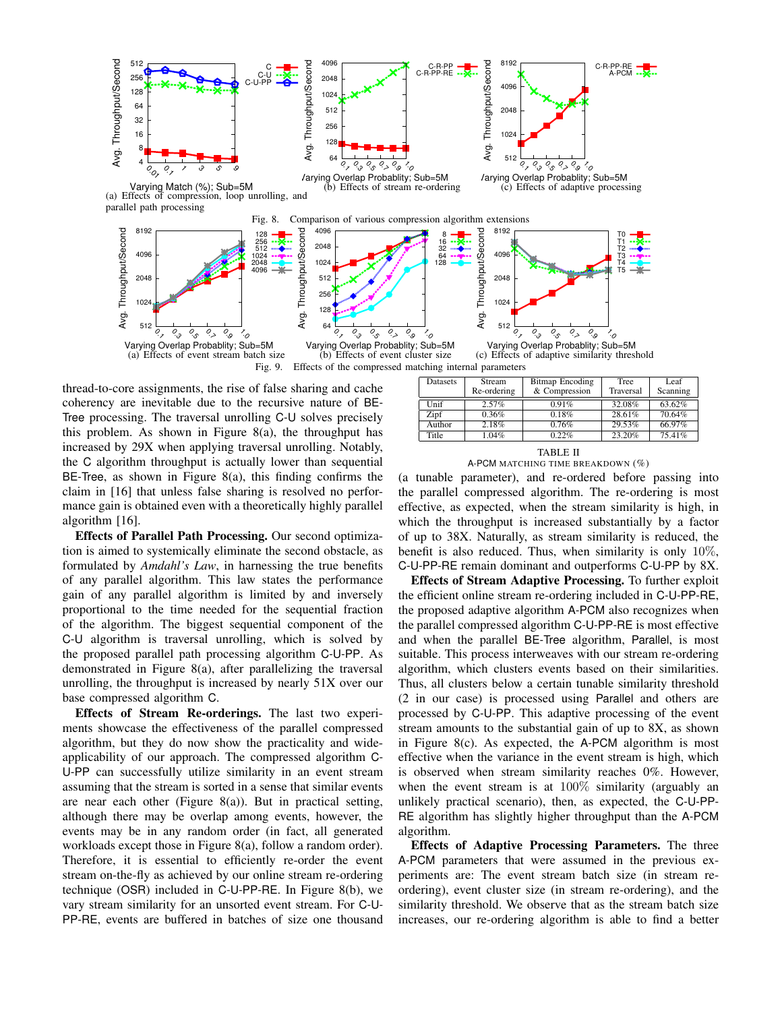

thread-to-core assignments, the rise of false sharing and cache coherency are inevitable due to the recursive nature of BE-Tree processing. The traversal unrolling C-U solves precisely this problem. As shown in Figure  $8(a)$ , the throughput has increased by 29X when applying traversal unrolling. Notably, the C algorithm throughput is actually lower than sequential BE-Tree, as shown in Figure 8(a), this finding confirms the claim in [16] that unless false sharing is resolved no performance gain is obtained even with a theoretically highly parallel algorithm [16].

Effects of Parallel Path Processing. Our second optimization is aimed to systemically eliminate the second obstacle, as formulated by *Amdahl's Law*, in harnessing the true benefits of any parallel algorithm. This law states the performance gain of any parallel algorithm is limited by and inversely proportional to the time needed for the sequential fraction of the algorithm. The biggest sequential component of the C-U algorithm is traversal unrolling, which is solved by the proposed parallel path processing algorithm C-U-PP. As demonstrated in Figure 8(a), after parallelizing the traversal unrolling, the throughput is increased by nearly 51X over our base compressed algorithm C.

Effects of Stream Re-orderings. The last two experiments showcase the effectiveness of the parallel compressed algorithm, but they do now show the practicality and wideapplicability of our approach. The compressed algorithm C-U-PP can successfully utilize similarity in an event stream assuming that the stream is sorted in a sense that similar events are near each other (Figure 8(a)). But in practical setting, although there may be overlap among events, however, the events may be in any random order (in fact, all generated workloads except those in Figure 8(a), follow a random order). Therefore, it is essential to efficiently re-order the event stream on-the-fly as achieved by our online stream re-ordering technique (OSR) included in C-U-PP-RE. In Figure 8(b), we vary stream similarity for an unsorted event stream. For C-U-PP-RE, events are buffered in batches of size one thousand

| Datasets | Stream<br>Re-ordering | <b>Bitmap Encoding</b><br>& Compression | Tree<br>Traversal | Leaf<br>Scanning |
|----------|-----------------------|-----------------------------------------|-------------------|------------------|
| Unif     | $2.57\%$              | 0.91%                                   | 32.08%            | 63.62%           |
| Zipf     | 0.36%                 | 0.18%                                   | 28.61%            | 70.64%           |
| Author   | 2.18%                 | 0.76%                                   | 29.53%            | 66.97%           |
| Title    | $1.04\%$              | 0.22%                                   | 23.20%            | 75.41%           |

TABLE II A-PCM MATCHING TIME BREAKDOWN (%)

(a tunable parameter), and re-ordered before passing into the parallel compressed algorithm. The re-ordering is most effective, as expected, when the stream similarity is high, in which the throughput is increased substantially by a factor of up to 38X. Naturally, as stream similarity is reduced, the benefit is also reduced. Thus, when similarity is only 10%, C-U-PP-RE remain dominant and outperforms C-U-PP by 8X.

Effects of Stream Adaptive Processing. To further exploit the efficient online stream re-ordering included in C-U-PP-RE, the proposed adaptive algorithm A-PCM also recognizes when the parallel compressed algorithm C-U-PP-RE is most effective and when the parallel BE-Tree algorithm, Parallel, is most suitable. This process interweaves with our stream re-ordering algorithm, which clusters events based on their similarities. Thus, all clusters below a certain tunable similarity threshold (2 in our case) is processed using Parallel and others are processed by C-U-PP. This adaptive processing of the event stream amounts to the substantial gain of up to 8X, as shown in Figure 8(c). As expected, the A-PCM algorithm is most effective when the variance in the event stream is high, which is observed when stream similarity reaches 0%. However, when the event stream is at 100% similarity (arguably an unlikely practical scenario), then, as expected, the C-U-PP-RE algorithm has slightly higher throughput than the A-PCM algorithm.

Effects of Adaptive Processing Parameters. The three A-PCM parameters that were assumed in the previous experiments are: The event stream batch size (in stream reordering), event cluster size (in stream re-ordering), and the similarity threshold. We observe that as the stream batch size increases, our re-ordering algorithm is able to find a better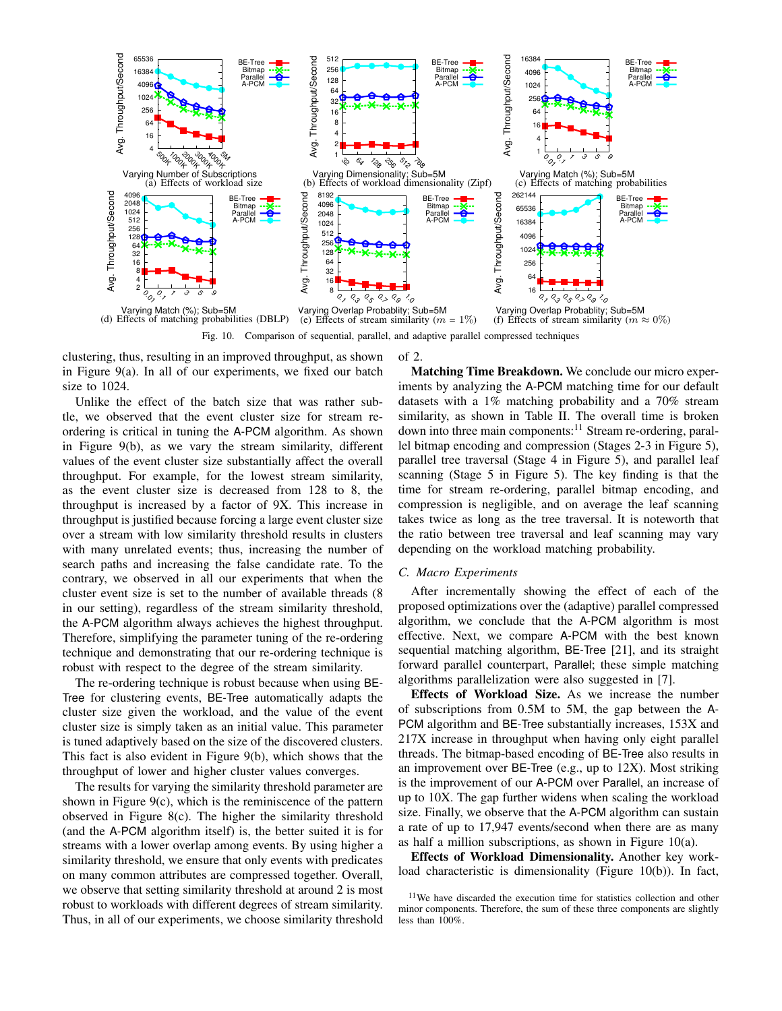

clustering, thus, resulting in an improved throughput, as shown in Figure 9(a). In all of our experiments, we fixed our batch size to 1024.

Unlike the effect of the batch size that was rather subtle, we observed that the event cluster size for stream reordering is critical in tuning the A-PCM algorithm. As shown in Figure 9(b), as we vary the stream similarity, different values of the event cluster size substantially affect the overall throughput. For example, for the lowest stream similarity, as the event cluster size is decreased from 128 to 8, the throughput is increased by a factor of 9X. This increase in throughput is justified because forcing a large event cluster size over a stream with low similarity threshold results in clusters with many unrelated events; thus, increasing the number of search paths and increasing the false candidate rate. To the contrary, we observed in all our experiments that when the cluster event size is set to the number of available threads (8 in our setting), regardless of the stream similarity threshold, the A-PCM algorithm always achieves the highest throughput. Therefore, simplifying the parameter tuning of the re-ordering technique and demonstrating that our re-ordering technique is robust with respect to the degree of the stream similarity.

The re-ordering technique is robust because when using BE-Tree for clustering events, BE-Tree automatically adapts the cluster size given the workload, and the value of the event cluster size is simply taken as an initial value. This parameter is tuned adaptively based on the size of the discovered clusters. This fact is also evident in Figure 9(b), which shows that the throughput of lower and higher cluster values converges.

The results for varying the similarity threshold parameter are shown in Figure 9(c), which is the reminiscence of the pattern observed in Figure 8(c). The higher the similarity threshold (and the A-PCM algorithm itself) is, the better suited it is for streams with a lower overlap among events. By using higher a similarity threshold, we ensure that only events with predicates on many common attributes are compressed together. Overall, we observe that setting similarity threshold at around 2 is most robust to workloads with different degrees of stream similarity. Thus, in all of our experiments, we choose similarity threshold of 2.

Matching Time Breakdown. We conclude our micro experiments by analyzing the A-PCM matching time for our default datasets with a 1% matching probability and a 70% stream similarity, as shown in Table II. The overall time is broken down into three main components:<sup>11</sup> Stream re-ordering, parallel bitmap encoding and compression (Stages 2-3 in Figure 5), parallel tree traversal (Stage 4 in Figure 5), and parallel leaf scanning (Stage 5 in Figure 5). The key finding is that the time for stream re-ordering, parallel bitmap encoding, and compression is negligible, and on average the leaf scanning takes twice as long as the tree traversal. It is noteworth that the ratio between tree traversal and leaf scanning may vary depending on the workload matching probability.

## *C. Macro Experiments*

After incrementally showing the effect of each of the proposed optimizations over the (adaptive) parallel compressed algorithm, we conclude that the A-PCM algorithm is most effective. Next, we compare A-PCM with the best known sequential matching algorithm, BE-Tree [21], and its straight forward parallel counterpart, Parallel; these simple matching algorithms parallelization were also suggested in [7].

Effects of Workload Size. As we increase the number of subscriptions from 0.5M to 5M, the gap between the A-PCM algorithm and BE-Tree substantially increases, 153X and 217X increase in throughput when having only eight parallel threads. The bitmap-based encoding of BE-Tree also results in an improvement over BE-Tree (e.g., up to 12X). Most striking is the improvement of our A-PCM over Parallel, an increase of up to 10X. The gap further widens when scaling the workload size. Finally, we observe that the A-PCM algorithm can sustain a rate of up to 17,947 events/second when there are as many as half a million subscriptions, as shown in Figure 10(a).

Effects of Workload Dimensionality. Another key workload characteristic is dimensionality (Figure 10(b)). In fact,

<sup>&</sup>lt;sup>11</sup>We have discarded the execution time for statistics collection and other minor components. Therefore, the sum of these three components are slightly less than 100%.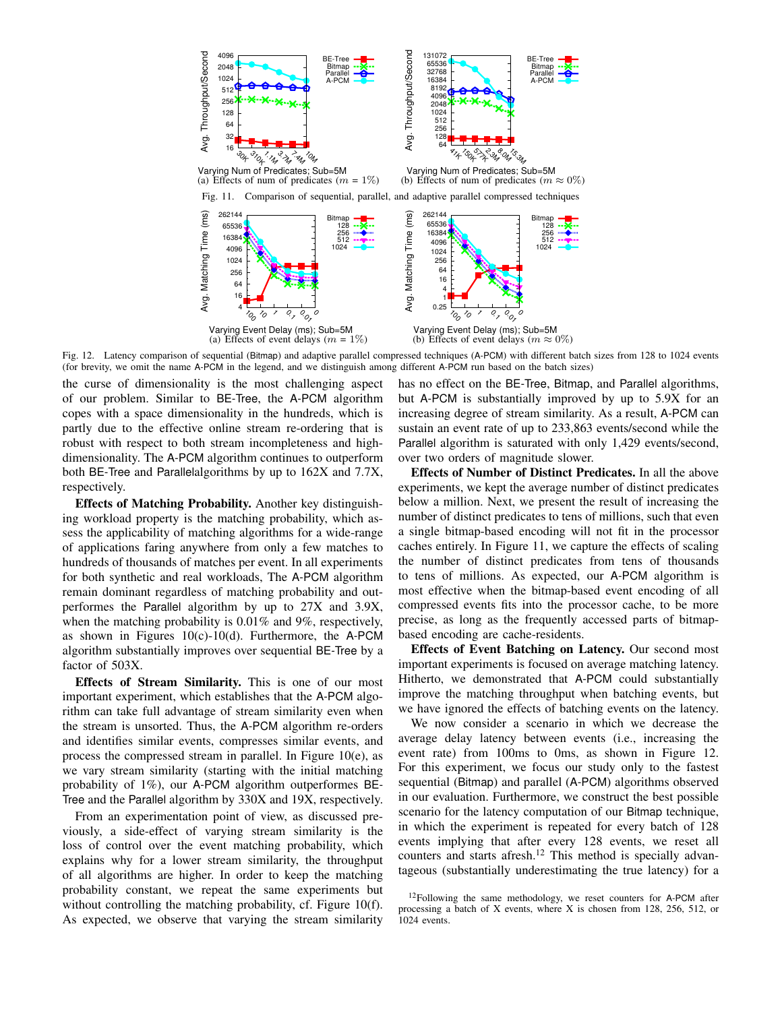

Fig. 12. Latency comparison of sequential (Bitmap) and adaptive parallel compressed techniques (A-PCM) with different batch sizes from 128 to 1024 events (for brevity, we omit the name A-PCM in the legend, and we distinguish among different A-PCM run based on the batch sizes)

the curse of dimensionality is the most challenging aspect of our problem. Similar to BE-Tree, the A-PCM algorithm copes with a space dimensionality in the hundreds, which is partly due to the effective online stream re-ordering that is robust with respect to both stream incompleteness and highdimensionality. The A-PCM algorithm continues to outperform both BE-Tree and Parallelalgorithms by up to 162X and 7.7X, respectively.

Effects of Matching Probability. Another key distinguishing workload property is the matching probability, which assess the applicability of matching algorithms for a wide-range of applications faring anywhere from only a few matches to hundreds of thousands of matches per event. In all experiments for both synthetic and real workloads, The A-PCM algorithm remain dominant regardless of matching probability and outperformes the Parallel algorithm by up to 27X and 3.9X, when the matching probability is 0.01% and 9%, respectively, as shown in Figures  $10(c)-10(d)$ . Furthermore, the A-PCM algorithm substantially improves over sequential BE-Tree by a factor of 503X.

Effects of Stream Similarity. This is one of our most important experiment, which establishes that the A-PCM algorithm can take full advantage of stream similarity even when the stream is unsorted. Thus, the A-PCM algorithm re-orders and identifies similar events, compresses similar events, and process the compressed stream in parallel. In Figure 10(e), as we vary stream similarity (starting with the initial matching probability of 1%), our A-PCM algorithm outperformes BE-Tree and the Parallel algorithm by 330X and 19X, respectively.

From an experimentation point of view, as discussed previously, a side-effect of varying stream similarity is the loss of control over the event matching probability, which explains why for a lower stream similarity, the throughput of all algorithms are higher. In order to keep the matching probability constant, we repeat the same experiments but without controlling the matching probability, cf. Figure 10(f). As expected, we observe that varying the stream similarity

has no effect on the BE-Tree, Bitmap, and Parallel algorithms, but A-PCM is substantially improved by up to 5.9X for an increasing degree of stream similarity. As a result, A-PCM can sustain an event rate of up to 233,863 events/second while the Parallel algorithm is saturated with only 1,429 events/second, over two orders of magnitude slower.

Effects of Number of Distinct Predicates. In all the above experiments, we kept the average number of distinct predicates below a million. Next, we present the result of increasing the number of distinct predicates to tens of millions, such that even a single bitmap-based encoding will not fit in the processor caches entirely. In Figure 11, we capture the effects of scaling the number of distinct predicates from tens of thousands to tens of millions. As expected, our A-PCM algorithm is most effective when the bitmap-based event encoding of all compressed events fits into the processor cache, to be more precise, as long as the frequently accessed parts of bitmapbased encoding are cache-residents.

Effects of Event Batching on Latency. Our second most important experiments is focused on average matching latency. Hitherto, we demonstrated that A-PCM could substantially improve the matching throughput when batching events, but we have ignored the effects of batching events on the latency.

We now consider a scenario in which we decrease the average delay latency between events (i.e., increasing the event rate) from 100ms to 0ms, as shown in Figure 12. For this experiment, we focus our study only to the fastest sequential (Bitmap) and parallel (A-PCM) algorithms observed in our evaluation. Furthermore, we construct the best possible scenario for the latency computation of our Bitmap technique, in which the experiment is repeated for every batch of 128 events implying that after every 128 events, we reset all counters and starts afresh.<sup>12</sup> This method is specially advantageous (substantially underestimating the true latency) for a

<sup>12</sup>Following the same methodology, we reset counters for A-PCM after processing a batch of X events, where X is chosen from 128, 256, 512, or 1024 events.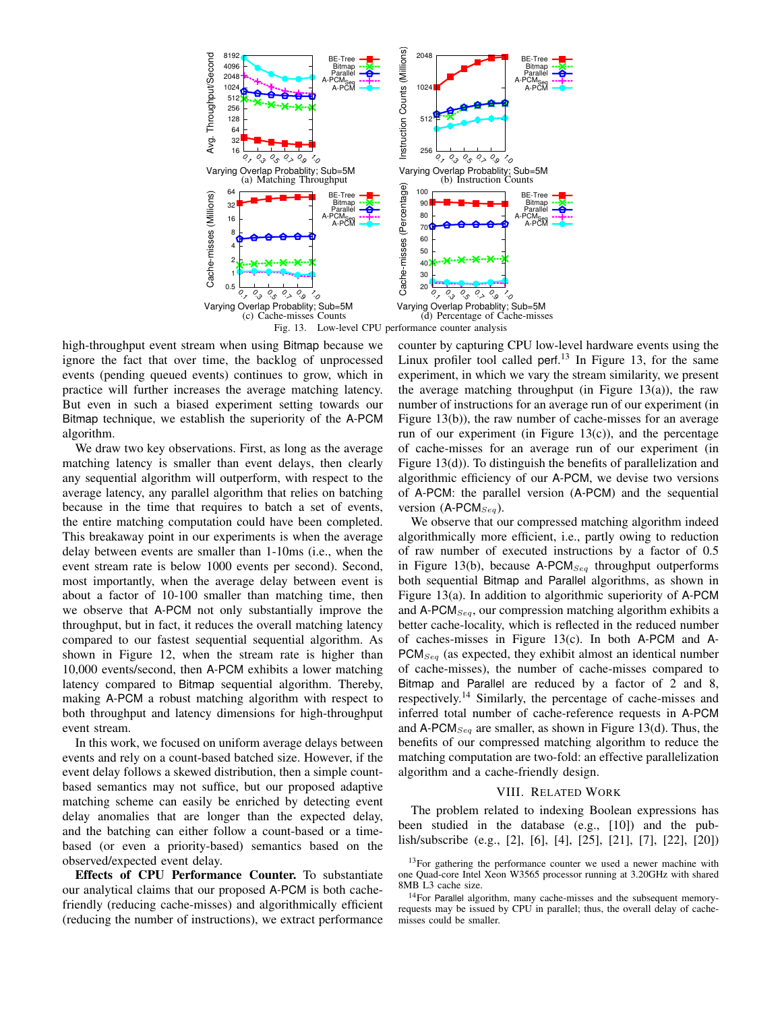

Fig. 13. Low-level CPU performance counter analysis

high-throughput event stream when using Bitmap because we ignore the fact that over time, the backlog of unprocessed events (pending queued events) continues to grow, which in practice will further increases the average matching latency. But even in such a biased experiment setting towards our Bitmap technique, we establish the superiority of the A-PCM algorithm.

We draw two key observations. First, as long as the average matching latency is smaller than event delays, then clearly any sequential algorithm will outperform, with respect to the average latency, any parallel algorithm that relies on batching because in the time that requires to batch a set of events, the entire matching computation could have been completed. This breakaway point in our experiments is when the average delay between events are smaller than 1-10ms (i.e., when the event stream rate is below 1000 events per second). Second, most importantly, when the average delay between event is about a factor of 10-100 smaller than matching time, then we observe that A-PCM not only substantially improve the throughput, but in fact, it reduces the overall matching latency compared to our fastest sequential sequential algorithm. As shown in Figure 12, when the stream rate is higher than 10,000 events/second, then A-PCM exhibits a lower matching latency compared to Bitmap sequential algorithm. Thereby, making A-PCM a robust matching algorithm with respect to both throughput and latency dimensions for high-throughput event stream.

In this work, we focused on uniform average delays between events and rely on a count-based batched size. However, if the event delay follows a skewed distribution, then a simple countbased semantics may not suffice, but our proposed adaptive matching scheme can easily be enriched by detecting event delay anomalies that are longer than the expected delay, and the batching can either follow a count-based or a timebased (or even a priority-based) semantics based on the observed/expected event delay.

Effects of CPU Performance Counter. To substantiate our analytical claims that our proposed A-PCM is both cachefriendly (reducing cache-misses) and algorithmically efficient (reducing the number of instructions), we extract performance

counter by capturing CPU low-level hardware events using the Linux profiler tool called perf. $13$  In Figure 13, for the same experiment, in which we vary the stream similarity, we present the average matching throughput (in Figure 13(a)), the raw number of instructions for an average run of our experiment (in Figure 13(b)), the raw number of cache-misses for an average run of our experiment (in Figure  $13(c)$ ), and the percentage of cache-misses for an average run of our experiment (in Figure 13(d)). To distinguish the benefits of parallelization and algorithmic efficiency of our A-PCM, we devise two versions of A-PCM: the parallel version (A-PCM) and the sequential version (A-PC $M_{Seq}$ ).

We observe that our compressed matching algorithm indeed algorithmically more efficient, i.e., partly owing to reduction of raw number of executed instructions by a factor of 0.5 in Figure 13(b), because A-PCM $_{Seq}$  throughput outperforms both sequential Bitmap and Parallel algorithms, as shown in Figure 13(a). In addition to algorithmic superiority of A-PCM and A-PCM $_{Seq}$ , our compression matching algorithm exhibits a better cache-locality, which is reflected in the reduced number of caches-misses in Figure 13(c). In both A-PCM and A- $PCM_{Seq}$  (as expected, they exhibit almost an identical number of cache-misses), the number of cache-misses compared to Bitmap and Parallel are reduced by a factor of 2 and 8, respectively.<sup>14</sup> Similarly, the percentage of cache-misses and inferred total number of cache-reference requests in A-PCM and A-PCM<sub>Seq</sub> are smaller, as shown in Figure 13(d). Thus, the benefits of our compressed matching algorithm to reduce the matching computation are two-fold: an effective parallelization algorithm and a cache-friendly design.

## VIII. RELATED WORK

The problem related to indexing Boolean expressions has been studied in the database (e.g., [10]) and the publish/subscribe (e.g., [2], [6], [4], [25], [21], [7], [22], [20])

 $13$ For gathering the performance counter we used a newer machine with one Quad-core Intel Xeon W3565 processor running at 3.20GHz with shared 8MB L3 cache size.

<sup>14</sup>For Parallel algorithm, many cache-misses and the subsequent memoryrequests may be issued by CPU in parallel; thus, the overall delay of cachemisses could be smaller.